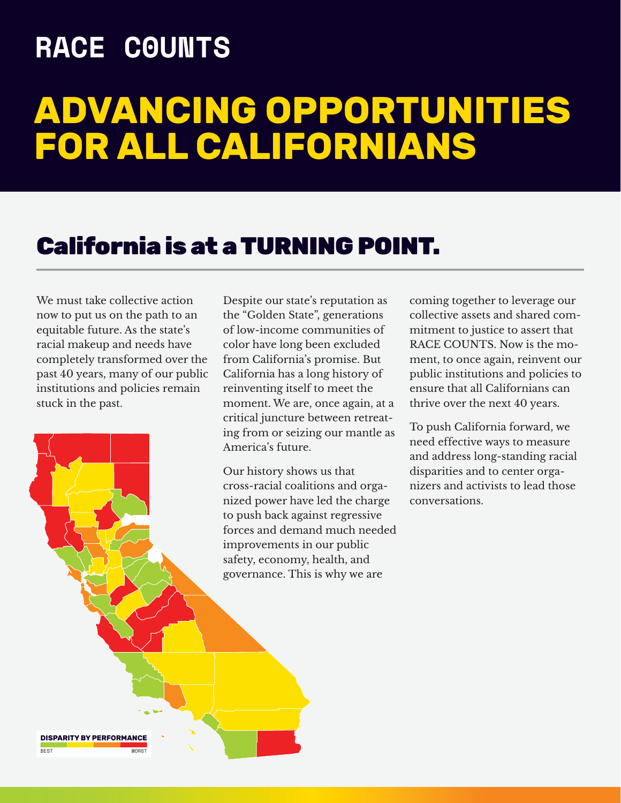## **RACE COUNTS**

# **ADVANCING OPPORTUNITIES FOR ALL CALIFORNIANS**

### California is at a TURNING POINT.

We must take collective action now to put us on the path to an equitable future. As the state's racial makeup and needs have completely transformed over the past 40 years, many of our public institutions and policies remain stuck in the past.

Despite our state's reputation as the "Golden State", generations of low-income communities of color have long been excluded from California's promise. But California has a long history of reinventing itself to meet the moment. We are, once again, at a critical juncture between retreating from or seizing our mantle as America's future.

Our history shows us that cross-racial coalitions and organized power have led the charge to push back against regressive forces and demand much needed improvements in our public safety, economy, health, and governance. This is why we are

coming together to leverage our collective assets and shared commitment to justice to assert that RACE COUNTS. Now is the moment, to once again, reinvent our public institutions and policies to ensure that all Californians can thrive over the next 40 years.

To push California forward, we need effective ways to measure and address long-standing racial disparities and to center organizers and activists to lead those conversations.

**DISPARITY BY PERFORMANCE** BEST WORST